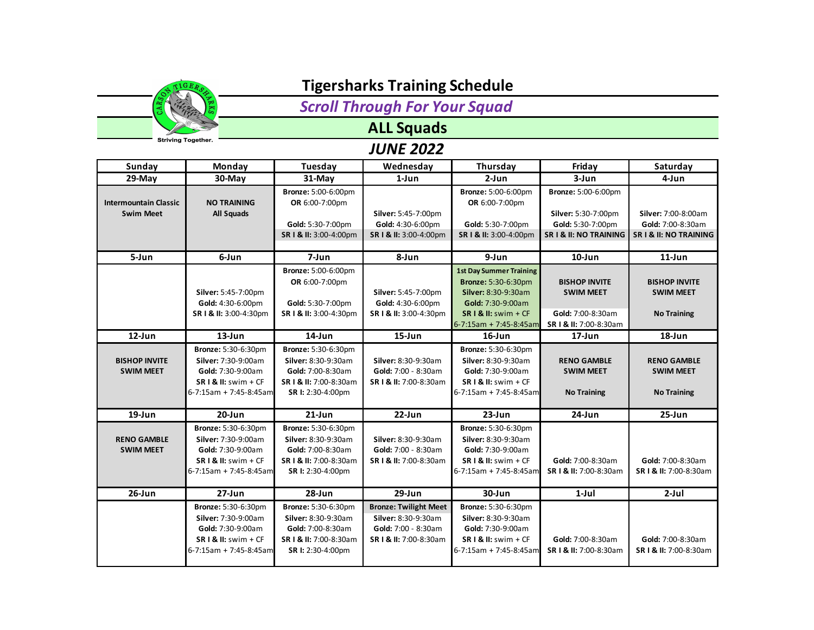

*Scroll Through For Your Squad*

## **ALL Squads**

| Sunday                       | Monday                     | Tuesday                    | Wednesday                    | Thursday                       | Friday                     | Saturday               |
|------------------------------|----------------------------|----------------------------|------------------------------|--------------------------------|----------------------------|------------------------|
| $29-Mav$                     | 30-May                     | 31-May                     | $1$ -Jun                     | $2-Jun$                        | 3-Jun                      | 4-Jun                  |
|                              |                            | <b>Bronze: 5:00-6:00pm</b> |                              | <b>Bronze: 5:00-6:00pm</b>     | <b>Bronze: 5:00-6:00pm</b> |                        |
| <b>Intermountain Classic</b> | <b>NO TRAINING</b>         | OR 6:00-7:00pm             |                              | OR 6:00-7:00pm                 |                            |                        |
| <b>Swim Meet</b>             | <b>All Squads</b>          |                            | Silver: 5:45-7:00pm          |                                | Silver: 5:30-7:00pm        | Silver: 7:00-8:00am    |
|                              |                            | Gold: 5:30-7:00pm          | Gold: 4:30-6:00pm            | Gold: 5:30-7:00pm              | Gold: 5:30-7:00pm          | Gold: 7:00-8:30am      |
|                              |                            | SR   & II: 3:00-4:00pm     | SR I & II: 3:00-4:00pm       | SR   & II: 3:00-4:00pm         | SR I & II: NO TRAINING     | SR I & II: NO TRAINING |
| 5-Jun                        | 6-Jun                      | 7-Jun                      | 8-Jun                        | 9-Jun                          | $10$ -Jun                  | $11$ -Jun              |
|                              |                            | <b>Bronze: 5:00-6:00pm</b> |                              | <b>1st Day Summer Training</b> |                            |                        |
|                              |                            | OR 6:00-7:00pm             |                              | <b>Bronze: 5:30-6:30pm</b>     | <b>BISHOP INVITE</b>       | <b>BISHOP INVITE</b>   |
|                              | Silver: 5:45-7:00pm        |                            | Silver: 5:45-7:00pm          | Silver: 8:30-9:30am            | <b>SWIM MEET</b>           | <b>SWIM MEET</b>       |
|                              | Gold: 4:30-6:00pm          | Gold: 5:30-7:00pm          | Gold: 4:30-6:00pm            | Gold: 7:30-9:00am              |                            |                        |
|                              | SR   & II: 3:00-4:30pm     | SR   & II: 3:00-4:30pm     | SR I & II: 3:00-4:30pm       | SR I & II: swim + CF           | Gold: 7:00-8:30am          | <b>No Training</b>     |
|                              |                            |                            |                              | 6-7:15am + 7:45-8:45am         | SR   & II: 7:00-8:30am     |                        |
| 12-Jun                       | $13$ -Jun                  | $14$ -Jun                  | $15$ -Jun                    | $16$ -Jun                      | $17 - Jun$                 | $18$ -Jun              |
|                              | <b>Bronze: 5:30-6:30pm</b> | <b>Bronze: 5:30-6:30pm</b> |                              | <b>Bronze: 5:30-6:30pm</b>     |                            |                        |
| <b>BISHOP INVITE</b>         | Silver: 7:30-9:00am        | Silver: 8:30-9:30am        | <b>Silver: 8:30-9:30am</b>   | Silver: 8:30-9:30am            | <b>RENO GAMBLE</b>         | <b>RENO GAMBLE</b>     |
| <b>SWIM MEET</b>             | Gold: 7:30-9:00am          | Gold: 7:00-8:30am          | Gold: 7:00 - 8:30am          | Gold: 7:30-9:00am              | <b>SWIM MEET</b>           | <b>SWIM MEET</b>       |
|                              | $SR I & II:$ swim + CF     | SR   & II: 7:00-8:30am     | SR   & II: 7:00-8:30am       | $SR I & II:$ swim + CF         |                            |                        |
|                              | 6-7:15am + 7:45-8:45am     | SR I: 2:30-4:00pm          |                              | 6-7:15am + 7:45-8:45am         | <b>No Training</b>         | <b>No Training</b>     |
|                              |                            |                            |                              |                                |                            |                        |
| $19$ -Jun                    | $20 - Jun$                 | $21$ -Jun                  | $22$ -Jun                    | $23$ -Jun                      | $24$ -Jun                  | $25 - Jun$             |
|                              | Bronze: 5:30-6:30pm        | Bronze: 5:30-6:30pm        |                              | Bronze: 5:30-6:30pm            |                            |                        |
| <b>RENO GAMBLE</b>           | Silver: 7:30-9:00am        | Silver: 8:30-9:30am        | Silver: 8:30-9:30am          | Silver: 8:30-9:30am            |                            |                        |
| <b>SWIM MEET</b>             | Gold: 7:30-9:00am          | Gold: 7:00-8:30am          | Gold: 7:00 - 8:30am          | Gold: 7:30-9:00am              |                            |                        |
|                              | $SR I & II:$ swim + CF     | SR   & II: 7:00-8:30am     | SR   & II: 7:00-8:30am       | $SR I & II:$ swim + CF         | Gold: 7:00-8:30am          | Gold: 7:00-8:30am      |
|                              | 6-7:15am + 7:45-8:45am     | SR I: 2:30-4:00pm          |                              | 6-7:15am + 7:45-8:45am         | SR   & II: 7:00-8:30am     | SR   & II: 7:00-8:30am |
| $26$ -Jun                    | $27 - Jun$                 | 28-Jun                     | $29$ -Jun                    | 30-Jun                         | $1-Jul$                    | $2-Jul$                |
|                              | Bronze: 5:30-6:30pm        | Bronze: 5:30-6:30pm        | <b>Bronze: Twilight Meet</b> | <b>Bronze: 5:30-6:30pm</b>     |                            |                        |
|                              | Silver: 7:30-9:00am        | Silver: 8:30-9:30am        | Silver: 8:30-9:30am          | Silver: 8:30-9:30am            |                            |                        |
|                              | Gold: 7:30-9:00am          | Gold: 7:00-8:30am          | Gold: 7:00 - 8:30am          | Gold: 7:30-9:00am              |                            |                        |
|                              | $SR I & II:$ swim + CF     | SR   & II: 7:00-8:30am     | SR I & II: 7:00-8:30am       | $SR I & II:$ swim + CF         | Gold: 7:00-8:30am          | Gold: 7:00-8:30am      |
|                              | 6-7:15am + 7:45-8:45am     | SR I: 2:30-4:00pm          |                              | 6-7:15am + 7:45-8:45am         | SR   & II: 7:00-8:30am     | SR I & II: 7:00-8:30am |
|                              |                            |                            |                              |                                |                            |                        |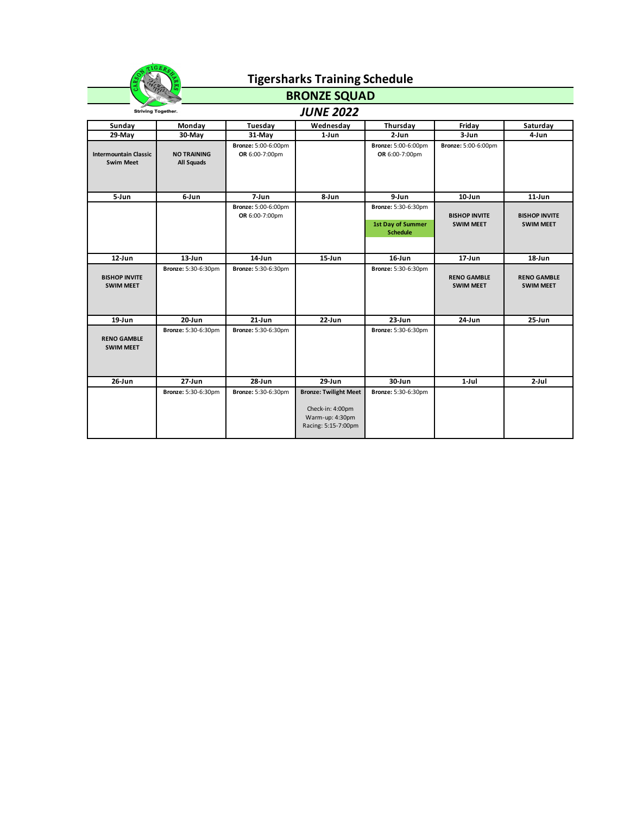

### **BRONZE SQUAD**

| <b>Striving Together.</b>                        |                                  |                                              | <b>JUNE 2022</b>                                                                           |                                                             |                                          |                                          |
|--------------------------------------------------|----------------------------------|----------------------------------------------|--------------------------------------------------------------------------------------------|-------------------------------------------------------------|------------------------------------------|------------------------------------------|
| Sunday                                           | Monday                           | Tuesday                                      | Wednesday                                                                                  | Thursday                                                    | Friday                                   | Saturday                                 |
| 29-May                                           | 30-May                           | $31-May$                                     | 1-Jun                                                                                      | $2-Jun$                                                     | $3 - Jun$                                | 4-Jun                                    |
| <b>Intermountain Classic</b><br><b>Swim Meet</b> | <b>NO TRAINING</b><br>All Squads | <b>Bronze: 5:00-6:00pm</b><br>OR 6:00-7:00pm |                                                                                            | <b>Bronze: 5:00-6:00pm</b><br>OR 6:00-7:00pm                | Bronze: 5:00-6:00pm                      |                                          |
| 5-Jun                                            | 6-Jun                            | 7-Jun                                        | 8-Jun                                                                                      | 9-Jun                                                       | $10$ -Jun                                | $11$ -Jun                                |
|                                                  |                                  | <b>Bronze: 5:00-6:00pm</b><br>OR 6:00-7:00pm |                                                                                            | Bronze: 5:30-6:30pm<br>1st Day of Summer<br><b>Schedule</b> | <b>BISHOP INVITE</b><br><b>SWIM MEET</b> | <b>BISHOP INVITE</b><br><b>SWIM MEET</b> |
| $12$ -Jun                                        | $13$ -Jun                        | 14-Jun                                       | $15$ -Jun                                                                                  | 16-Jun                                                      | $17 - Jun$                               | $18$ -Jun                                |
| <b>BISHOP INVITE</b><br><b>SWIM MEET</b>         | Bronze: 5:30-6:30pm              | Bronze: 5:30-6:30pm                          |                                                                                            | <b>Bronze: 5:30-6:30pm</b>                                  | <b>RENO GAMBLE</b><br><b>SWIM MEET</b>   | <b>RENO GAMBLE</b><br><b>SWIM MEET</b>   |
| $19$ -Jun                                        | 20-Jun                           | $21$ -Jun                                    | 22-Jun                                                                                     | $23$ -Jun                                                   | 24-Jun                                   | $25 - Jun$                               |
| <b>RENO GAMBLE</b><br><b>SWIM MEET</b>           | <b>Bronze: 5:30-6:30pm</b>       | Bronze: 5:30-6:30pm                          |                                                                                            | <b>Bronze: 5:30-6:30pm</b>                                  |                                          |                                          |
| $26$ -Jun                                        | $27 - Jun$                       | 28-Jun                                       | 29-Jun                                                                                     | 30-Jun                                                      | $1-Jul$                                  | $2-Jul$                                  |
|                                                  | <b>Bronze: 5:30-6:30pm</b>       | Bronze: 5:30-6:30pm                          | <b>Bronze: Twilight Meet</b><br>Check-in: 4:00pm<br>Warm-up: 4:30pm<br>Racing: 5:15-7:00pm | <b>Bronze: 5:30-6:30pm</b>                                  |                                          |                                          |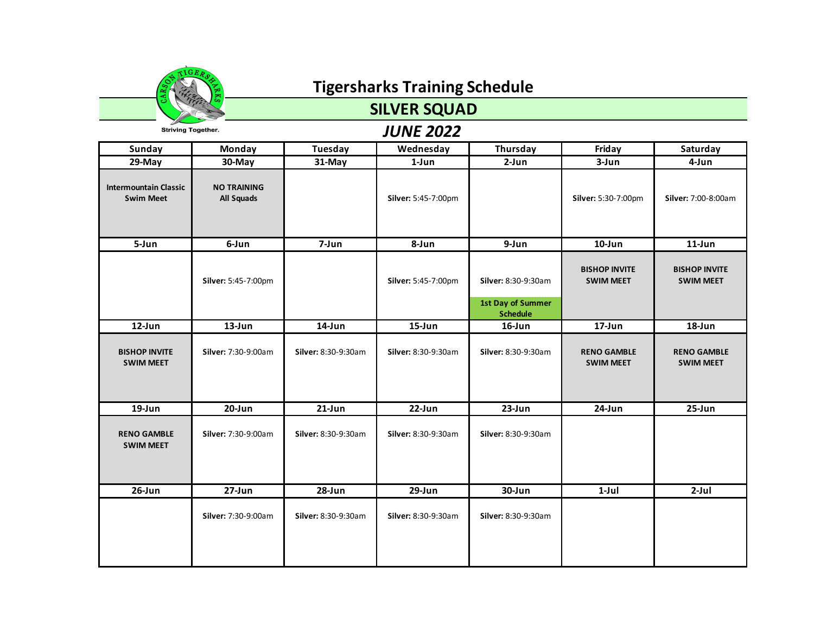

### **SILVER SQUAD**

| Sunday                                           | Monday                           | Tuesday             | Wednesday           | Thursday                                                           | Friday                                   | Saturday                                 |
|--------------------------------------------------|----------------------------------|---------------------|---------------------|--------------------------------------------------------------------|------------------------------------------|------------------------------------------|
| $29$ -May                                        | 30-May                           | 31-May              | $1$ -Jun            | $2-Jun$                                                            | 3-Jun                                    | 4-Jun                                    |
| <b>Intermountain Classic</b><br><b>Swim Meet</b> | <b>NO TRAINING</b><br>All Squads |                     | Silver: 5:45-7:00pm |                                                                    | Silver: 5:30-7:00pm                      | Silver: 7:00-8:00am                      |
| 5-Jun                                            | 6-Jun                            | 7-Jun               | 8-Jun               | 9-Jun                                                              | $10$ -Jun                                | $11$ -Jun                                |
|                                                  | Silver: 5:45-7:00pm              |                     | Silver: 5:45-7:00pm | Silver: 8:30-9:30am<br><b>1st Day of Summer</b><br><b>Schedule</b> | <b>BISHOP INVITE</b><br><b>SWIM MEET</b> | <b>BISHOP INVITE</b><br><b>SWIM MEET</b> |
| 12-Jun                                           | $13$ -Jun                        | 14-Jun              | 15-Jun              | $16$ -Jun                                                          | 17-Jun                                   | $18$ -Jun                                |
| <b>BISHOP INVITE</b><br><b>SWIM MEET</b>         | Silver: 7:30-9:00am              | Silver: 8:30-9:30am | Silver: 8:30-9:30am | Silver: 8:30-9:30am                                                | <b>RENO GAMBLE</b><br><b>SWIM MEET</b>   | <b>RENO GAMBLE</b><br><b>SWIM MEET</b>   |
| 19-Jun                                           | 20-Jun                           | $21$ -Jun           | 22-Jun              | 23-Jun                                                             | 24-Jun                                   | $25 - Jun$                               |
| <b>RENO GAMBLE</b><br><b>SWIM MEET</b>           | Silver: 7:30-9:00am              | Silver: 8:30-9:30am | Silver: 8:30-9:30am | Silver: 8:30-9:30am                                                |                                          |                                          |
| $26$ -Jun                                        | 27-Jun                           | 28-Jun              | 29-Jun              | 30-Jun                                                             | $1-Jul$                                  | $2-Jul$                                  |
|                                                  | Silver: 7:30-9:00am              | Silver: 8:30-9:30am | Silver: 8:30-9:30am | Silver: 8:30-9:30am                                                |                                          |                                          |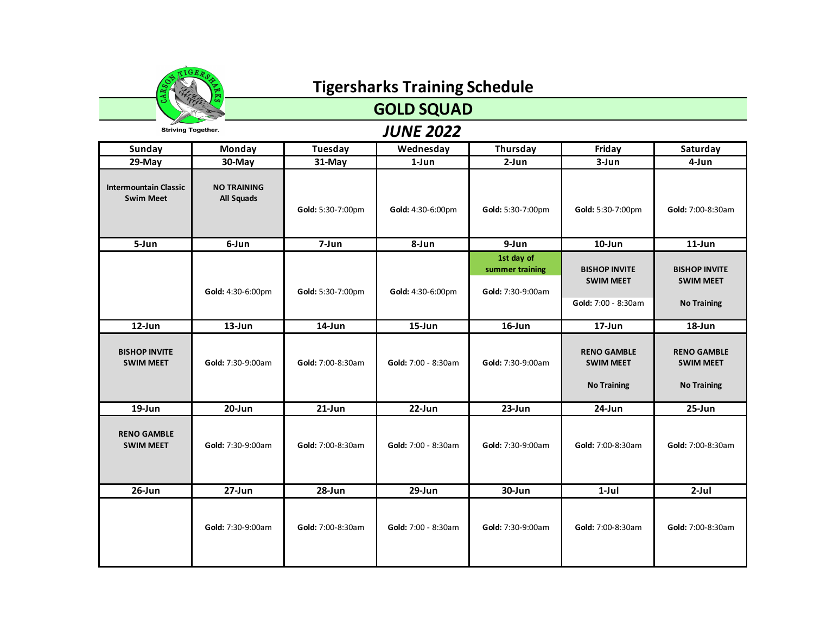

### **GOLD SQUAD**

| Sunday                                           | Monday                                  | Tuesday           | Wednesday           | Thursday                                           | Friday                                                          | Saturday                                                       |
|--------------------------------------------------|-----------------------------------------|-------------------|---------------------|----------------------------------------------------|-----------------------------------------------------------------|----------------------------------------------------------------|
| 29-May                                           | 30-May                                  | 31-May            | 1-Jun               | $2-Jun$                                            | $3 - Jun$                                                       | 4-Jun                                                          |
| <b>Intermountain Classic</b><br><b>Swim Meet</b> | <b>NO TRAINING</b><br><b>All Squads</b> | Gold: 5:30-7:00pm | Gold: 4:30-6:00pm   | Gold: 5:30-7:00pm                                  | Gold: 5:30-7:00pm                                               | Gold: 7:00-8:30am                                              |
| 5-Jun                                            | 6-Jun                                   | 7-Jun             | 8-Jun               | 9-Jun                                              | $10$ -Jun                                                       | $11$ -Jun                                                      |
|                                                  | Gold: 4:30-6:00pm                       | Gold: 5:30-7:00pm | Gold: 4:30-6:00pm   | 1st day of<br>summer training<br>Gold: 7:30-9:00am | <b>BISHOP INVITE</b><br><b>SWIM MEET</b><br>Gold: 7:00 - 8:30am | <b>BISHOP INVITE</b><br><b>SWIM MEET</b><br><b>No Training</b> |
| 12-Jun                                           | $13$ -Jun                               | $14$ -Jun         | $15 - Jun$          | $16$ -Jun                                          | 17-Jun                                                          | $18$ -Jun                                                      |
| <b>BISHOP INVITE</b><br><b>SWIM MEET</b>         | Gold: 7:30-9:00am                       | Gold: 7:00-8:30am | Gold: 7:00 - 8:30am | Gold: 7:30-9:00am                                  | <b>RENO GAMBLE</b><br><b>SWIM MEET</b><br><b>No Training</b>    | <b>RENO GAMBLE</b><br><b>SWIM MEET</b><br><b>No Training</b>   |
| 19-Jun                                           | 20-Jun                                  | $21$ -Jun         | 22-Jun              | 23-Jun                                             | 24-Jun                                                          | $25 - Jun$                                                     |
| <b>RENO GAMBLE</b><br><b>SWIM MEET</b>           | Gold: 7:30-9:00am                       | Gold: 7:00-8:30am | Gold: 7:00 - 8:30am | Gold: 7:30-9:00am                                  | Gold: 7:00-8:30am                                               | Gold: 7:00-8:30am                                              |
| $26$ -Jun                                        | $27 - Jun$                              | 28-Jun            | $29$ -Jun           | 30-Jun                                             | $1-Jul$                                                         | $2-Jul$                                                        |
|                                                  | Gold: 7:30-9:00am                       | Gold: 7:00-8:30am | Gold: 7:00 - 8:30am | Gold: 7:30-9:00am                                  | Gold: 7:00-8:30am                                               | Gold: 7:00-8:30am                                              |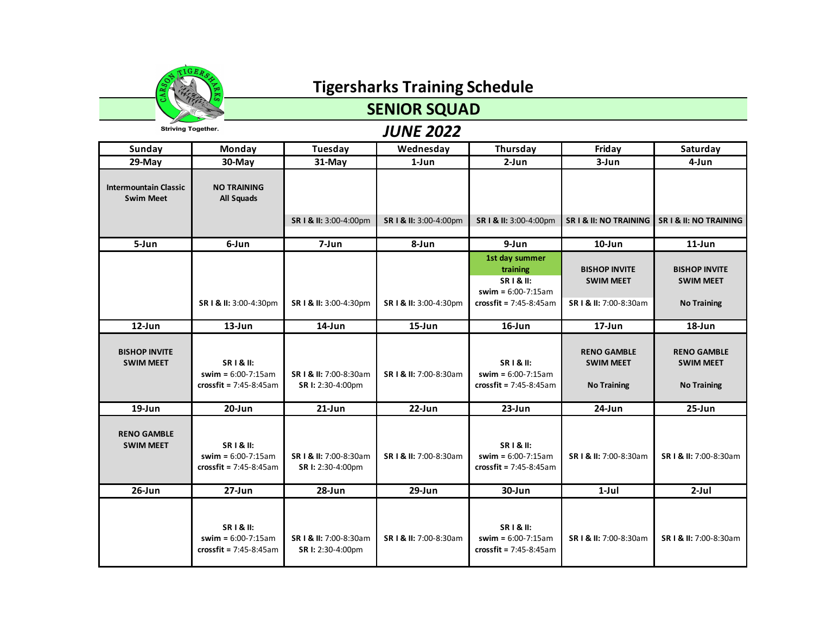

## **SENIOR SQUAD**

**Striving Together.** 

| <b>Sunday</b>                                    | <b>Monday</b>                                                            | <b>Tuesday</b>                              | Wednesday              | Thursday                                                                                             | Friday                                                             | Saturday                                                       |
|--------------------------------------------------|--------------------------------------------------------------------------|---------------------------------------------|------------------------|------------------------------------------------------------------------------------------------------|--------------------------------------------------------------------|----------------------------------------------------------------|
| $29-May$                                         | $30$ -May                                                                | 31-May                                      | $1$ -Jun               | $2-Jun$                                                                                              | 3-Jun                                                              | 4-Jun                                                          |
| <b>Intermountain Classic</b><br><b>Swim Meet</b> | <b>NO TRAINING</b><br><b>All Squads</b>                                  | SR I & II: 3:00-4:00pm                      | SR   & II: 3:00-4:00pm | SR I & II: 3:00-4:00pm                                                                               | <b>SR I &amp; II: NO TRAINING</b>                                  | <b>SR I &amp; II: NO TRAINING</b>                              |
| 5-Jun                                            | 6-Jun                                                                    | 7-Jun                                       | 8-Jun                  | 9-Jun                                                                                                | $10$ -Jun                                                          | $11$ -Jun                                                      |
|                                                  | SR   & II: 3:00-4:30pm                                                   | SR I & II: 3:00-4:30pm                      | SR   & II: 3:00-4:30pm | 1st day summer<br>training<br><b>SRI&amp;II:</b><br>swim = $6:00-7:15am$<br>$crossfit = 7:45-8:45am$ | <b>BISHOP INVITE</b><br><b>SWIM MEET</b><br>SR   & II: 7:00-8:30am | <b>BISHOP INVITE</b><br><b>SWIM MEET</b><br><b>No Training</b> |
| $12$ -Jun                                        | $13 - Jun$                                                               | 14-Jun                                      | $15 - Jun$             | 16-Jun                                                                                               | 17-Jun                                                             | 18-Jun                                                         |
| <b>BISHOP INVITE</b><br><b>SWIM MEET</b>         | <b>SRI&amp;II:</b><br>swim = $6:00 - 7:15am$<br>crossfit = $7:45-8:45am$ | SR I & II: 7:00-8:30am<br>SR I: 2:30-4:00pm | SR   & II: 7:00-8:30am | <b>SRI&amp;II:</b><br>swim = $6:00-7:15am$<br>crossfit = $7:45-8:45am$                               | <b>RENO GAMBLE</b><br><b>SWIM MEET</b><br><b>No Training</b>       | <b>RENO GAMBLE</b><br><b>SWIM MEET</b><br><b>No Training</b>   |
| $19$ -Jun                                        | $20 - Jun$                                                               | $21$ -Jun                                   | $22$ -Jun              | $23$ -Jun                                                                                            | 24-Jun                                                             | $25 - Jun$                                                     |
| <b>RENO GAMBLE</b><br><b>SWIM MEET</b>           | <b>SRI&amp;II:</b><br>swim = $6:00-7:15am$<br>crossfit = $7:45-8:45am$   | SR   & II: 7:00-8:30am<br>SR I: 2:30-4:00pm | SR   & II: 7:00-8:30am | <b>SRI&amp;II:</b><br>swim = $6:00-7:15am$<br>crossfit = $7:45-8:45am$                               | SR   & II: 7:00-8:30am                                             | SR   & II: 7:00-8:30am                                         |
| $26$ -Jun                                        | 27-Jun                                                                   | 28-Jun                                      | $29$ -Jun              | $30 - Jun$                                                                                           | $1-Jul$                                                            | $2-Jul$                                                        |
|                                                  | <b>SRI&amp;II:</b><br>swim = $6:00-7:15am$<br>crossfit = $7:45-8:45am$   | SR   & II: 7:00-8:30am<br>SR I: 2:30-4:00pm | SR   & II: 7:00-8:30am | <b>SRI&amp;II:</b><br>swim = $6:00-7:15am$<br>crossfit = $7:45-8:45am$                               | SR   & II: 7:00-8:30am                                             | SR   & II: 7:00-8:30am                                         |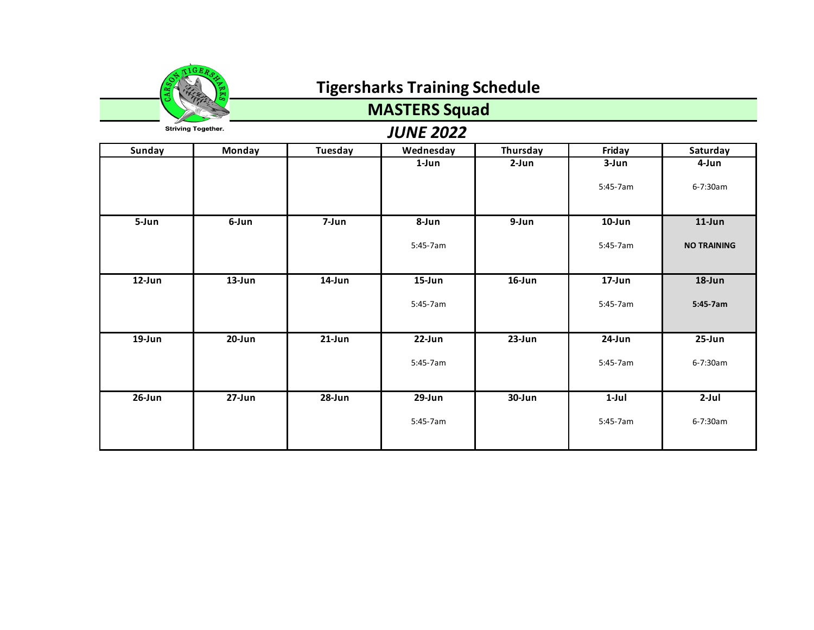

## **MASTERS Squad**

| Sunday     | Monday     | Tuesday   | Wednesday | Thursday  | Friday    | Saturday           |
|------------|------------|-----------|-----------|-----------|-----------|--------------------|
|            |            |           | 1-Jun     | $2-Jun$   | 3-Jun     | 4-Jun              |
|            |            |           |           |           | 5:45-7am  | 6-7:30am           |
| 5-Jun      | 6-Jun      | 7-Jun     | 8-Jun     | 9-Jun     | $10$ -Jun | $11$ -Jun          |
|            |            |           | 5:45-7am  |           | 5:45-7am  | <b>NO TRAINING</b> |
| $12$ -Jun  | $13$ -Jun  | $14$ -Jun | $15$ -Jun | $16$ -Jun | 17-Jun    | 18-Jun             |
|            |            |           | 5:45-7am  |           | 5:45-7am  | 5:45-7am           |
| $19 - Jun$ | $20$ -Jun  | $21$ -Jun | 22-Jun    | $23$ -Jun | 24-Jun    | 25-Jun             |
|            |            |           | 5:45-7am  |           | 5:45-7am  | 6-7:30am           |
| $26$ -Jun  | $27 - Jun$ | 28-Jun    | $29$ -Jun | 30-Jun    | $1-Jul$   | $2-Jul$            |
|            |            |           | 5:45-7am  |           | 5:45-7am  | 6-7:30am           |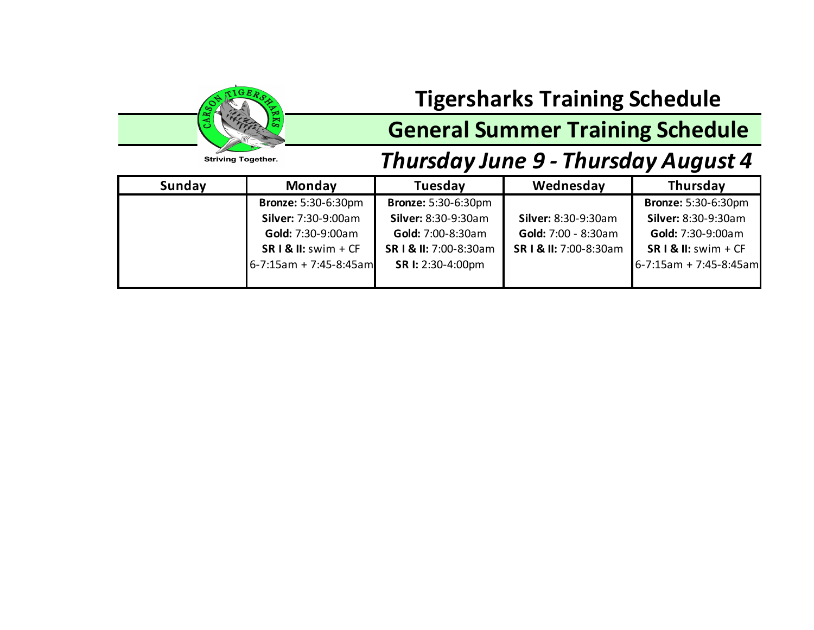

## **General Summer Training Schedule**

#### **Striving Together.**

## *Thursday June 9 - Thursday August 4*

| Sunday | <b>Monday</b>               | <b>Tuesday</b>             | Wednesday              | Thursday                    |
|--------|-----------------------------|----------------------------|------------------------|-----------------------------|
|        | <b>Bronze: 5:30-6:30pm</b>  | <b>Bronze: 5:30-6:30pm</b> |                        | <b>Bronze: 5:30-6:30pm</b>  |
|        | Silver: 7:30-9:00am         | <b>Silver: 8:30-9:30am</b> | Silver: 8:30-9:30am    | Silver: 8:30-9:30am         |
|        | <b>Gold: 7:30-9:00am</b>    | Gold: 7:00-8:30am          | Gold: 7:00 - 8:30am    | <b>Gold: 7:30-9:00am</b>    |
|        | $SR I & II:$ swim + CF      | SR   & II: 7:00-8:30am     | SR I & II: 7:00-8:30am | $SR I & II:$ swim + CF      |
|        | $6 - 7:15$ am + 7:45-8:45am | SR I: 2:30-4:00pm          |                        | $6 - 7:15$ am + 7:45-8:45am |
|        |                             |                            |                        |                             |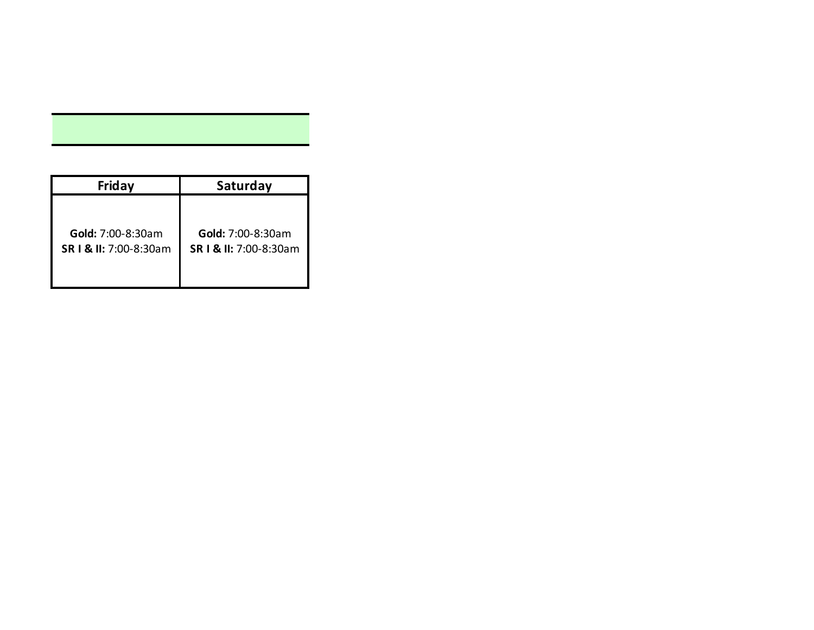| Friday                   | Saturday                 |
|--------------------------|--------------------------|
| <b>Gold:</b> 7:00-8:30am | <b>Gold:</b> 7:00-8:30am |
| SR   & II: 7:00-8:30am   | SR   & II: 7:00-8:30am   |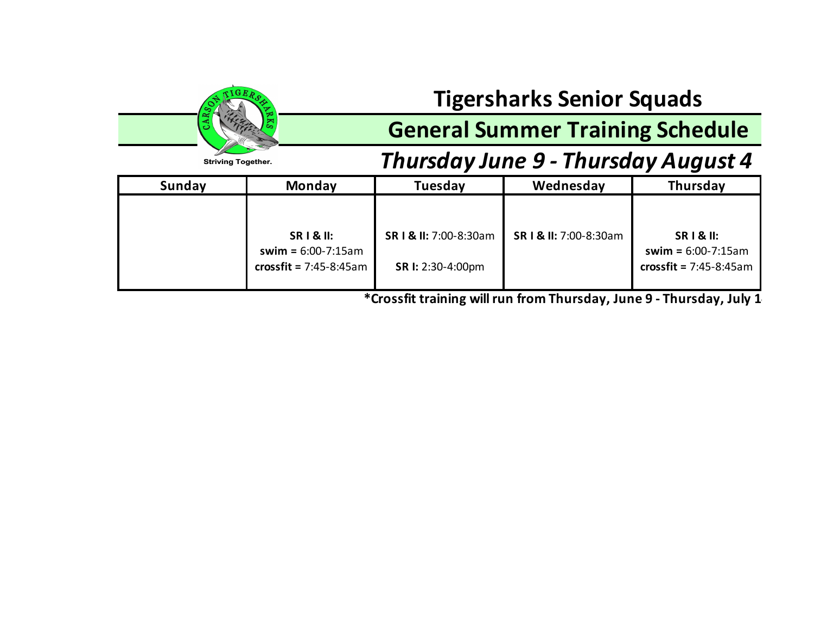## **Tigersharks Senior Squads**

## **General Summer Training Schedule**

## *Thursday June 9 - Thursday August 4*



**\*Crossfit training will run from Thursday, June 9 - Thursday, July 14.**